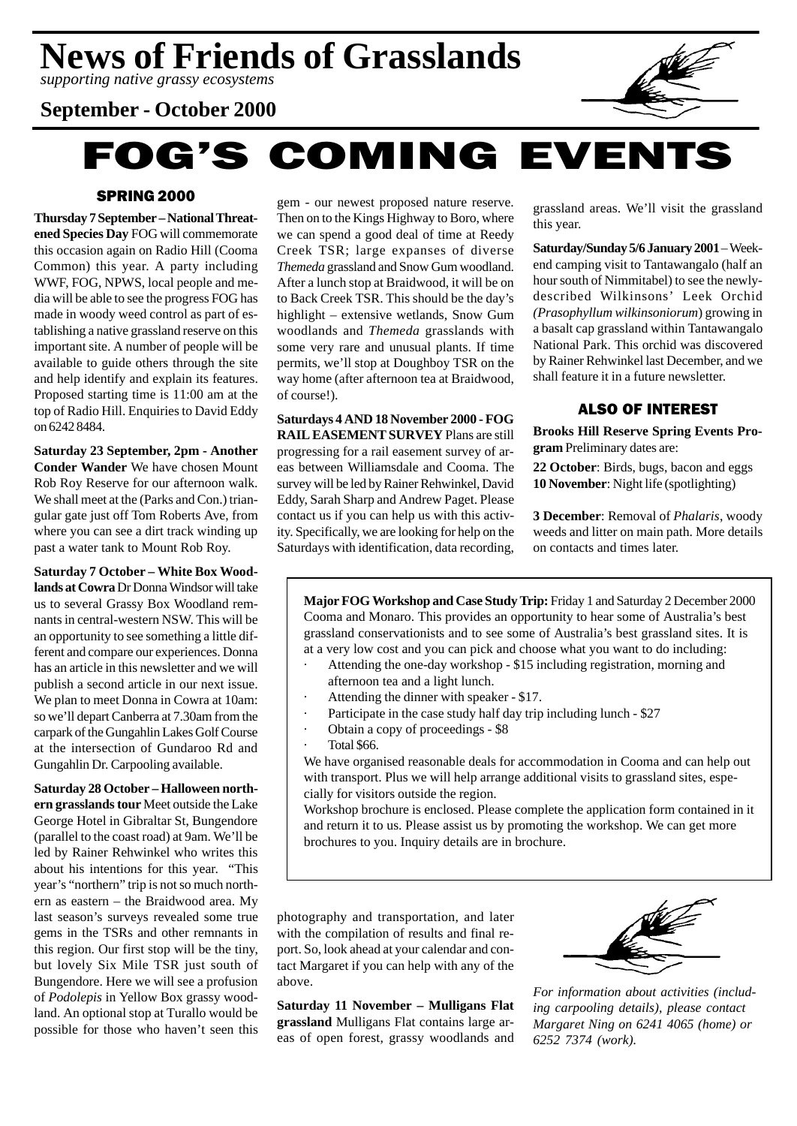*supporting native grassy ecosystems*

# **September - October 2000**

# **FOG'S COMING EVENTS**

# SPRING 2000

**Thursday 7 September – National Threatened Species Day** FOG will commemorate this occasion again on Radio Hill (Cooma Common) this year. A party including WWF, FOG, NPWS, local people and media will be able to see the progress FOG has made in woody weed control as part of establishing a native grassland reserve on this important site. A number of people will be available to guide others through the site and help identify and explain its features. Proposed starting time is 11:00 am at the top of Radio Hill. Enquiries to David Eddy on 6242 8484.

**Saturday 23 September, 2pm - Another Conder Wander** We have chosen Mount Rob Roy Reserve for our afternoon walk. We shall meet at the (Parks and Con.) triangular gate just off Tom Roberts Ave, from where you can see a dirt track winding up past a water tank to Mount Rob Roy.

**Saturday 7 October – White Box Woodlands at Cowra** Dr Donna Windsor will take us to several Grassy Box Woodland remnants in central-western NSW. This will be an opportunity to see something a little different and compare our experiences. Donna has an article in this newsletter and we will publish a second article in our next issue. We plan to meet Donna in Cowra at 10am: so we'll depart Canberra at 7.30am from the carpark of the Gungahlin Lakes Golf Course at the intersection of Gundaroo Rd and Gungahlin Dr. Carpooling available.

**Saturday 28 October – Halloween northern grasslands tour** Meet outside the Lake George Hotel in Gibraltar St, Bungendore (parallel to the coast road) at 9am. We'll be led by Rainer Rehwinkel who writes this about his intentions for this year. "This year's "northern" trip is not so much northern as eastern – the Braidwood area. My last season's surveys revealed some true gems in the TSRs and other remnants in this region. Our first stop will be the tiny, but lovely Six Mile TSR just south of Bungendore. Here we will see a profusion of *Podolepis* in Yellow Box grassy woodland. An optional stop at Turallo would be possible for those who haven't seen this gem - our newest proposed nature reserve. Then on to the Kings Highway to Boro, where we can spend a good deal of time at Reedy Creek TSR; large expanses of diverse *Themeda* grassland and Snow Gum woodland. After a lunch stop at Braidwood, it will be on to Back Creek TSR. This should be the day's highlight – extensive wetlands, Snow Gum woodlands and *Themeda* grasslands with some very rare and unusual plants. If time permits, we'll stop at Doughboy TSR on the way home (after afternoon tea at Braidwood, of course!).

**Saturdays 4 AND 18 November 2000 - FOG RAIL EASEMENT SURVEY** Plans are still progressing for a rail easement survey of areas between Williamsdale and Cooma. The survey will be led by Rainer Rehwinkel, David Eddy, Sarah Sharp and Andrew Paget. Please contact us if you can help us with this activity. Specifically, we are looking for help on the Saturdays with identification, data recording, grassland areas. We'll visit the grassland this year.

**Saturday/Sunday 5/6 January 2001** – Weekend camping visit to Tantawangalo (half an hour south of Nimmitabel) to see the newlydescribed Wilkinsons' Leek Orchid *(Prasophyllum wilkinsoniorum*) growing in a basalt cap grassland within Tantawangalo National Park. This orchid was discovered by Rainer Rehwinkel last December, and we shall feature it in a future newsletter.

# ALSO OF INTEREST

**Brooks Hill Reserve Spring Events Program** Preliminary dates are:

**22 October**: Birds, bugs, bacon and eggs **10 November**: Night life (spotlighting)

**3 December**: Removal of *Phalaris*, woody weeds and litter on main path. More details on contacts and times later.

**Major FOG Workshop and Case Study Trip:** Friday 1 and Saturday 2 December 2000 Cooma and Monaro. This provides an opportunity to hear some of Australia's best grassland conservationists and to see some of Australia's best grassland sites. It is at a very low cost and you can pick and choose what you want to do including:

- Attending the one-day workshop \$15 including registration, morning and afternoon tea and a light lunch.
- Attending the dinner with speaker \$17.
- Participate in the case study half day trip including lunch \$27
- Obtain a copy of proceedings \$8
- · Total \$66.

We have organised reasonable deals for accommodation in Cooma and can help out with transport. Plus we will help arrange additional visits to grassland sites, especially for visitors outside the region.

Workshop brochure is enclosed. Please complete the application form contained in it and return it to us. Please assist us by promoting the workshop. We can get more brochures to you. Inquiry details are in brochure.

photography and transportation, and later with the compilation of results and final report. So, look ahead at your calendar and contact Margaret if you can help with any of the above.

**Saturday 11 November – Mulligans Flat grassland** Mulligans Flat contains large areas of open forest, grassy woodlands and



*For information about activities (including carpooling details), please contact Margaret Ning on 6241 4065 (home) or 6252 7374 (work).*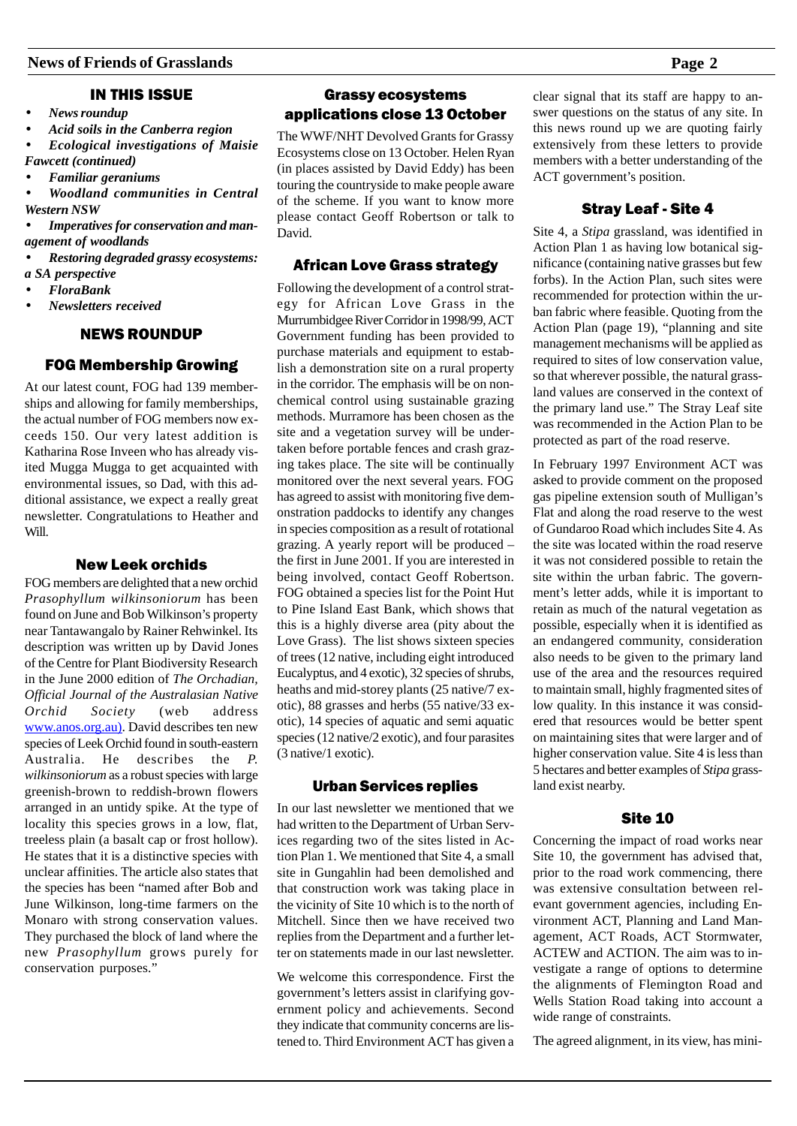# IN THIS ISSUE

- *News roundup*
- *Acid soils in the Canberra region*
- *Ecological investigations of Maisie Fawcett (continued)*
- *Familiar geraniums*
- *Woodland communities in Central Western NSW*
- *Imperatives for conservation and management of woodlands*
- *Restoring degraded grassy ecosystems:*
- *a SA perspective*
- *FloraBank*
- *Newsletters received*

## NEWS ROUNDUP

## FOG Membership Growing

At our latest count, FOG had 139 memberships and allowing for family memberships, the actual number of FOG members now exceeds 150. Our very latest addition is Katharina Rose Inveen who has already visited Mugga Mugga to get acquainted with environmental issues, so Dad, with this additional assistance, we expect a really great newsletter. Congratulations to Heather and Will.

# New Leek orchids

FOG members are delighted that a new orchid *Prasophyllum wilkinsoniorum* has been found on June and Bob Wilkinson's property near Tantawangalo by Rainer Rehwinkel. Its description was written up by David Jones of the Centre for Plant Biodiversity Research in the June 2000 edition of *The Orchadian, Official Journal of the Australasian Native Orchid Society* (web address www.anos.org.au). David describes ten new species of Leek Orchid found in south-eastern Australia. He describes the *P. wilkinsoniorum* as a robust species with large greenish-brown to reddish-brown flowers arranged in an untidy spike. At the type of locality this species grows in a low, flat, treeless plain (a basalt cap or frost hollow). He states that it is a distinctive species with unclear affinities. The article also states that the species has been "named after Bob and June Wilkinson, long-time farmers on the Monaro with strong conservation values. They purchased the block of land where the new *Prasophyllum* grows purely for conservation purposes."

# Grassy ecosystems applications close 13 October

The WWF/NHT Devolved Grants for Grassy Ecosystems close on 13 October. Helen Ryan (in places assisted by David Eddy) has been touring the countryside to make people aware of the scheme. If you want to know more please contact Geoff Robertson or talk to David.

# African Love Grass strategy

Following the development of a control strategy for African Love Grass in the Murrumbidgee River Corridor in 1998/99, ACT Government funding has been provided to purchase materials and equipment to establish a demonstration site on a rural property in the corridor. The emphasis will be on nonchemical control using sustainable grazing methods. Murramore has been chosen as the site and a vegetation survey will be undertaken before portable fences and crash grazing takes place. The site will be continually monitored over the next several years. FOG has agreed to assist with monitoring five demonstration paddocks to identify any changes in species composition as a result of rotational grazing. A yearly report will be produced – the first in June 2001. If you are interested in being involved, contact Geoff Robertson. FOG obtained a species list for the Point Hut to Pine Island East Bank, which shows that this is a highly diverse area (pity about the Love Grass). The list shows sixteen species of trees (12 native, including eight introduced Eucalyptus, and 4 exotic), 32 species of shrubs, heaths and mid-storey plants (25 native/7 exotic), 88 grasses and herbs (55 native/33 exotic), 14 species of aquatic and semi aquatic species (12 native/2 exotic), and four parasites (3 native/1 exotic).

## Urban Services replies

In our last newsletter we mentioned that we had written to the Department of Urban Services regarding two of the sites listed in Action Plan 1. We mentioned that Site 4, a small site in Gungahlin had been demolished and that construction work was taking place in the vicinity of Site 10 which is to the north of Mitchell. Since then we have received two replies from the Department and a further letter on statements made in our last newsletter.

We welcome this correspondence. First the government's letters assist in clarifying government policy and achievements. Second they indicate that community concerns are listened to. Third Environment ACT has given a clear signal that its staff are happy to answer questions on the status of any site. In this news round up we are quoting fairly extensively from these letters to provide members with a better understanding of the ACT government's position.

# Stray Leaf - Site 4

Site 4, a *Stipa* grassland, was identified in Action Plan 1 as having low botanical significance (containing native grasses but few forbs). In the Action Plan, such sites were recommended for protection within the urban fabric where feasible. Quoting from the Action Plan (page 19), "planning and site management mechanisms will be applied as required to sites of low conservation value, so that wherever possible, the natural grassland values are conserved in the context of the primary land use." The Stray Leaf site was recommended in the Action Plan to be protected as part of the road reserve.

In February 1997 Environment ACT was asked to provide comment on the proposed gas pipeline extension south of Mulligan's Flat and along the road reserve to the west of Gundaroo Road which includes Site 4. As the site was located within the road reserve it was not considered possible to retain the site within the urban fabric. The government's letter adds, while it is important to retain as much of the natural vegetation as possible, especially when it is identified as an endangered community, consideration also needs to be given to the primary land use of the area and the resources required to maintain small, highly fragmented sites of low quality. In this instance it was considered that resources would be better spent on maintaining sites that were larger and of higher conservation value. Site 4 is less than 5 hectares and better examples of *Stipa* grassland exist nearby.

# Site 10

Concerning the impact of road works near Site 10, the government has advised that, prior to the road work commencing, there was extensive consultation between relevant government agencies, including Environment ACT, Planning and Land Management, ACT Roads, ACT Stormwater, ACTEW and ACTION. The aim was to investigate a range of options to determine the alignments of Flemington Road and Wells Station Road taking into account a wide range of constraints.

The agreed alignment, in its view, has mini-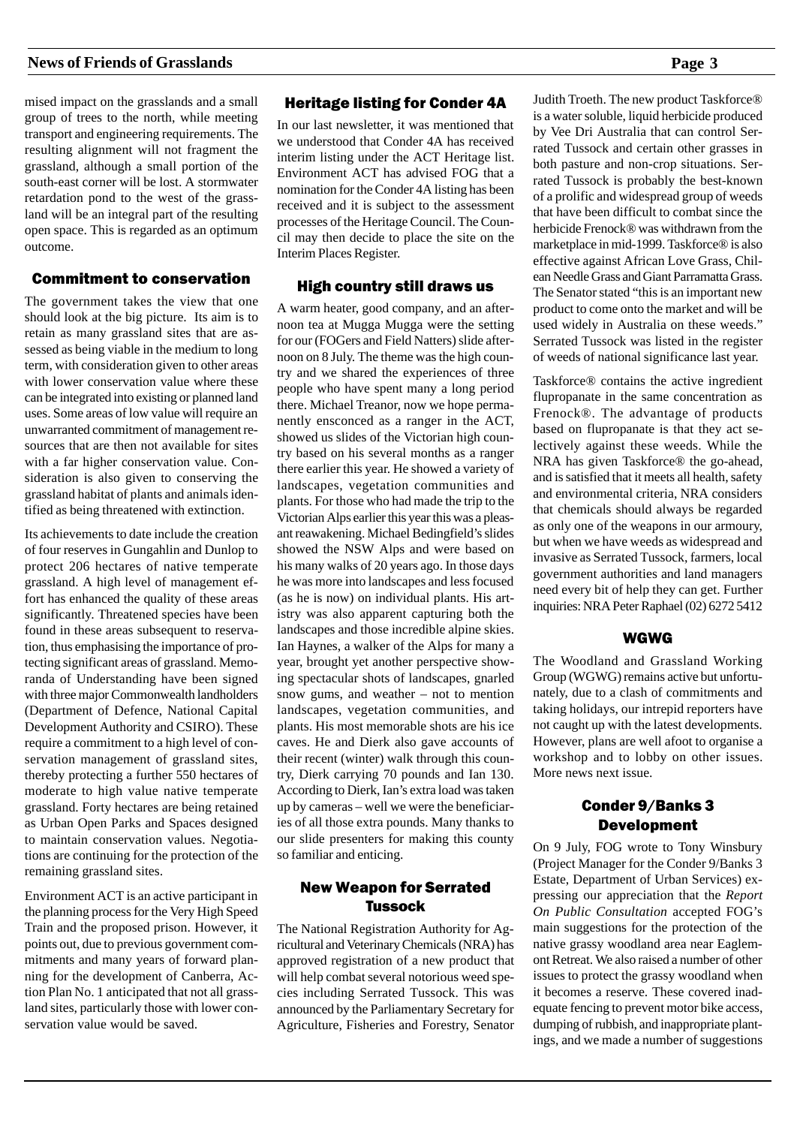mised impact on the grasslands and a small group of trees to the north, while meeting transport and engineering requirements. The resulting alignment will not fragment the grassland, although a small portion of the south-east corner will be lost. A stormwater retardation pond to the west of the grassland will be an integral part of the resulting open space. This is regarded as an optimum outcome.

# Commitment to conservation

The government takes the view that one should look at the big picture. Its aim is to retain as many grassland sites that are assessed as being viable in the medium to long term, with consideration given to other areas with lower conservation value where these can be integrated into existing or planned land uses. Some areas of low value will require an unwarranted commitment of management resources that are then not available for sites with a far higher conservation value. Consideration is also given to conserving the grassland habitat of plants and animals identified as being threatened with extinction.

Its achievements to date include the creation of four reserves in Gungahlin and Dunlop to protect 206 hectares of native temperate grassland. A high level of management effort has enhanced the quality of these areas significantly. Threatened species have been found in these areas subsequent to reservation, thus emphasising the importance of protecting significant areas of grassland. Memoranda of Understanding have been signed with three major Commonwealth landholders (Department of Defence, National Capital Development Authority and CSIRO). These require a commitment to a high level of conservation management of grassland sites, thereby protecting a further 550 hectares of moderate to high value native temperate grassland. Forty hectares are being retained as Urban Open Parks and Spaces designed to maintain conservation values. Negotiations are continuing for the protection of the remaining grassland sites.

Environment ACT is an active participant in the planning process for the Very High Speed Train and the proposed prison. However, it points out, due to previous government commitments and many years of forward planning for the development of Canberra, Action Plan No. 1 anticipated that not all grassland sites, particularly those with lower conservation value would be saved.

# Heritage listing for Conder 4A

In our last newsletter, it was mentioned that we understood that Conder 4A has received interim listing under the ACT Heritage list. Environment ACT has advised FOG that a nomination for the Conder 4A listing has been received and it is subject to the assessment processes of the Heritage Council. The Council may then decide to place the site on the Interim Places Register.

## High country still draws us

A warm heater, good company, and an afternoon tea at Mugga Mugga were the setting for our (FOGers and Field Natters) slide afternoon on 8 July. The theme was the high country and we shared the experiences of three people who have spent many a long period there. Michael Treanor, now we hope permanently ensconced as a ranger in the ACT, showed us slides of the Victorian high country based on his several months as a ranger there earlier this year. He showed a variety of landscapes, vegetation communities and plants. For those who had made the trip to the Victorian Alps earlier this year this was a pleasant reawakening. Michael Bedingfield's slides showed the NSW Alps and were based on his many walks of 20 years ago. In those days he was more into landscapes and less focused (as he is now) on individual plants. His artistry was also apparent capturing both the landscapes and those incredible alpine skies. Ian Haynes, a walker of the Alps for many a year, brought yet another perspective showing spectacular shots of landscapes, gnarled snow gums, and weather – not to mention landscapes, vegetation communities, and plants. His most memorable shots are his ice caves. He and Dierk also gave accounts of their recent (winter) walk through this country, Dierk carrying 70 pounds and Ian 130. According to Dierk, Ian's extra load was taken up by cameras – well we were the beneficiaries of all those extra pounds. Many thanks to our slide presenters for making this county so familiar and enticing.

# New Weapon for Serrated **Tussock**

The National Registration Authority for Agricultural and Veterinary Chemicals (NRA) has approved registration of a new product that will help combat several notorious weed species including Serrated Tussock. This was announced by the Parliamentary Secretary for Agriculture, Fisheries and Forestry, Senator

Judith Troeth. The new product Taskforce® is a water soluble, liquid herbicide produced by Vee Dri Australia that can control Serrated Tussock and certain other grasses in both pasture and non-crop situations. Serrated Tussock is probably the best-known of a prolific and widespread group of weeds that have been difficult to combat since the herbicide Frenock® was withdrawn from the marketplace in mid-1999. Taskforce® is also effective against African Love Grass, Chilean Needle Grass and Giant Parramatta Grass. The Senator stated "this is an important new product to come onto the market and will be used widely in Australia on these weeds." Serrated Tussock was listed in the register of weeds of national significance last year.

Taskforce® contains the active ingredient flupropanate in the same concentration as Frenock®. The advantage of products based on flupropanate is that they act selectively against these weeds. While the NRA has given Taskforce® the go-ahead, and is satisfied that it meets all health, safety and environmental criteria, NRA considers that chemicals should always be regarded as only one of the weapons in our armoury, but when we have weeds as widespread and invasive as Serrated Tussock, farmers, local government authorities and land managers need every bit of help they can get. Further inquiries: NRA Peter Raphael (02) 6272 5412

# WGWG

The Woodland and Grassland Working Group (WGWG) remains active but unfortunately, due to a clash of commitments and taking holidays, our intrepid reporters have not caught up with the latest developments. However, plans are well afoot to organise a workshop and to lobby on other issues. More news next issue.

# Conder 9/Banks 3 Development

On 9 July, FOG wrote to Tony Winsbury (Project Manager for the Conder 9/Banks 3 Estate, Department of Urban Services) expressing our appreciation that the *Report On Public Consultation* accepted FOG's main suggestions for the protection of the native grassy woodland area near Eaglemont Retreat. We also raised a number of other issues to protect the grassy woodland when it becomes a reserve. These covered inadequate fencing to prevent motor bike access, dumping of rubbish, and inappropriate plantings, and we made a number of suggestions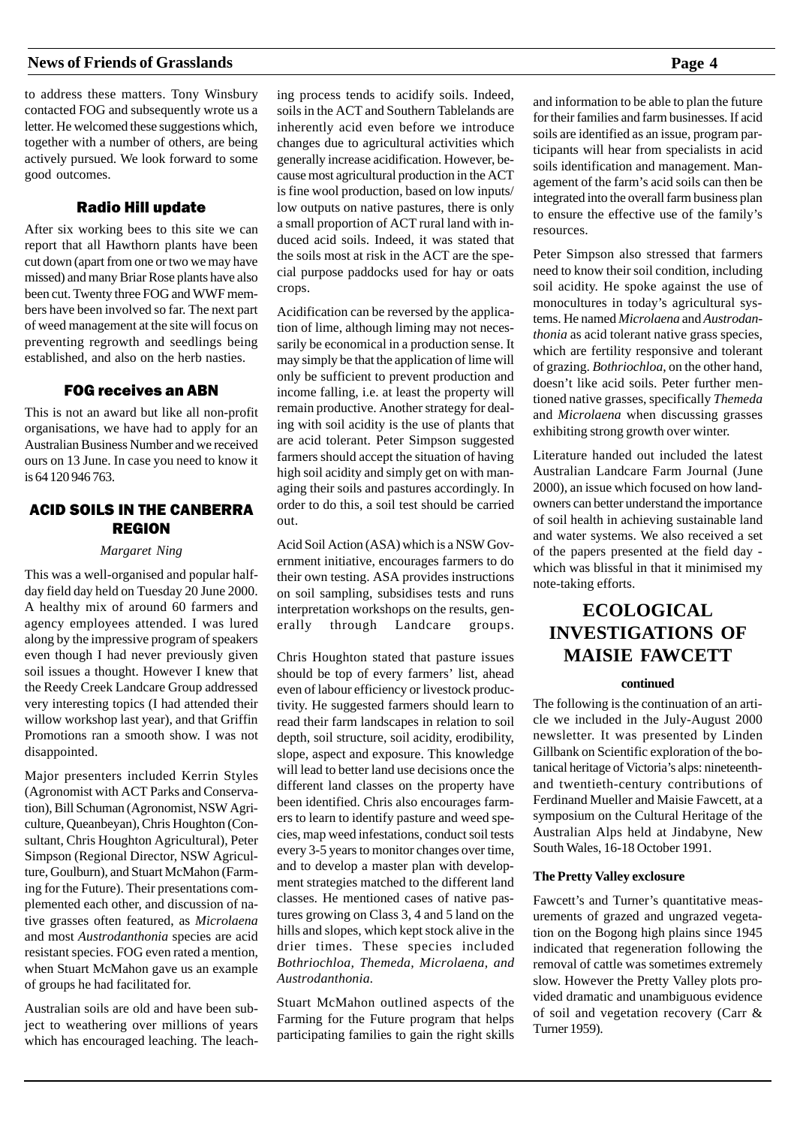to address these matters. Tony Winsbury contacted FOG and subsequently wrote us a letter. He welcomed these suggestions which, together with a number of others, are being actively pursued. We look forward to some good outcomes.

# Radio Hill update

After six working bees to this site we can report that all Hawthorn plants have been cut down (apart from one or two we may have missed) and many Briar Rose plants have also been cut. Twenty three FOG and WWF members have been involved so far. The next part of weed management at the site will focus on preventing regrowth and seedlings being established, and also on the herb nasties.

# FOG receives an ABN

This is not an award but like all non-profit organisations, we have had to apply for an Australian Business Number and we received ours on 13 June. In case you need to know it is 64 120 946 763.

# ACID SOILS IN THE CANBERRA REGION

#### *Margaret Ning*

This was a well-organised and popular halfday field day held on Tuesday 20 June 2000. A healthy mix of around 60 farmers and agency employees attended. I was lured along by the impressive program of speakers even though I had never previously given soil issues a thought. However I knew that the Reedy Creek Landcare Group addressed very interesting topics (I had attended their willow workshop last year), and that Griffin Promotions ran a smooth show. I was not disappointed.

Major presenters included Kerrin Styles (Agronomist with ACT Parks and Conservation), Bill Schuman (Agronomist, NSW Agriculture, Queanbeyan), Chris Houghton (Consultant, Chris Houghton Agricultural), Peter Simpson (Regional Director, NSW Agriculture, Goulburn), and Stuart McMahon (Farming for the Future). Their presentations complemented each other, and discussion of native grasses often featured, as *Microlaena* and most *Austrodanthonia* species are acid resistant species. FOG even rated a mention, when Stuart McMahon gave us an example of groups he had facilitated for.

Australian soils are old and have been subject to weathering over millions of years which has encouraged leaching. The leaching process tends to acidify soils. Indeed, soils in the ACT and Southern Tablelands are inherently acid even before we introduce changes due to agricultural activities which generally increase acidification. However, because most agricultural production in the ACT is fine wool production, based on low inputs/ low outputs on native pastures, there is only a small proportion of ACT rural land with induced acid soils. Indeed, it was stated that the soils most at risk in the ACT are the special purpose paddocks used for hay or oats crops.

Acidification can be reversed by the application of lime, although liming may not necessarily be economical in a production sense. It may simply be that the application of lime will only be sufficient to prevent production and income falling, i.e. at least the property will remain productive. Another strategy for dealing with soil acidity is the use of plants that are acid tolerant. Peter Simpson suggested farmers should accept the situation of having high soil acidity and simply get on with managing their soils and pastures accordingly. In order to do this, a soil test should be carried out.

Acid Soil Action (ASA) which is a NSW Government initiative, encourages farmers to do their own testing. ASA provides instructions on soil sampling, subsidises tests and runs interpretation workshops on the results, generally through Landcare groups.

Chris Houghton stated that pasture issues should be top of every farmers' list, ahead even of labour efficiency or livestock productivity. He suggested farmers should learn to read their farm landscapes in relation to soil depth, soil structure, soil acidity, erodibility, slope, aspect and exposure. This knowledge will lead to better land use decisions once the different land classes on the property have been identified. Chris also encourages farmers to learn to identify pasture and weed species, map weed infestations, conduct soil tests every 3-5 years to monitor changes over time, and to develop a master plan with development strategies matched to the different land classes. He mentioned cases of native pastures growing on Class 3, 4 and 5 land on the hills and slopes, which kept stock alive in the drier times. These species included *Bothriochloa, Themeda, Microlaena, and Austrodanthonia.*

Stuart McMahon outlined aspects of the Farming for the Future program that helps participating families to gain the right skills

and information to be able to plan the future for their families and farm businesses. If acid soils are identified as an issue, program participants will hear from specialists in acid soils identification and management. Management of the farm's acid soils can then be integrated into the overall farm business plan to ensure the effective use of the family's resources.

Peter Simpson also stressed that farmers need to know their soil condition, including soil acidity. He spoke against the use of monocultures in today's agricultural systems. He named *Microlaena* and *Austrodanthonia* as acid tolerant native grass species, which are fertility responsive and tolerant of grazing. *Bothriochloa*, on the other hand, doesn't like acid soils. Peter further mentioned native grasses, specifically *Themeda* and *Microlaena* when discussing grasses exhibiting strong growth over winter.

Literature handed out included the latest Australian Landcare Farm Journal (June 2000), an issue which focused on how landowners can better understand the importance of soil health in achieving sustainable land and water systems. We also received a set of the papers presented at the field day which was blissful in that it minimised my note-taking efforts.

# **ECOLOGICAL INVESTIGATIONS OF MAISIE FAWCETT**

#### **continued**

The following is the continuation of an article we included in the July-August 2000 newsletter. It was presented by Linden Gillbank on Scientific exploration of the botanical heritage of Victoria's alps: nineteenthand twentieth-century contributions of Ferdinand Mueller and Maisie Fawcett, at a symposium on the Cultural Heritage of the Australian Alps held at Jindabyne, New South Wales, 16-18 October 1991.

#### **The Pretty Valley exclosure**

Fawcett's and Turner's quantitative measurements of grazed and ungrazed vegetation on the Bogong high plains since 1945 indicated that regeneration following the removal of cattle was sometimes extremely slow. However the Pretty Valley plots provided dramatic and unambiguous evidence of soil and vegetation recovery (Carr & Turner 1959).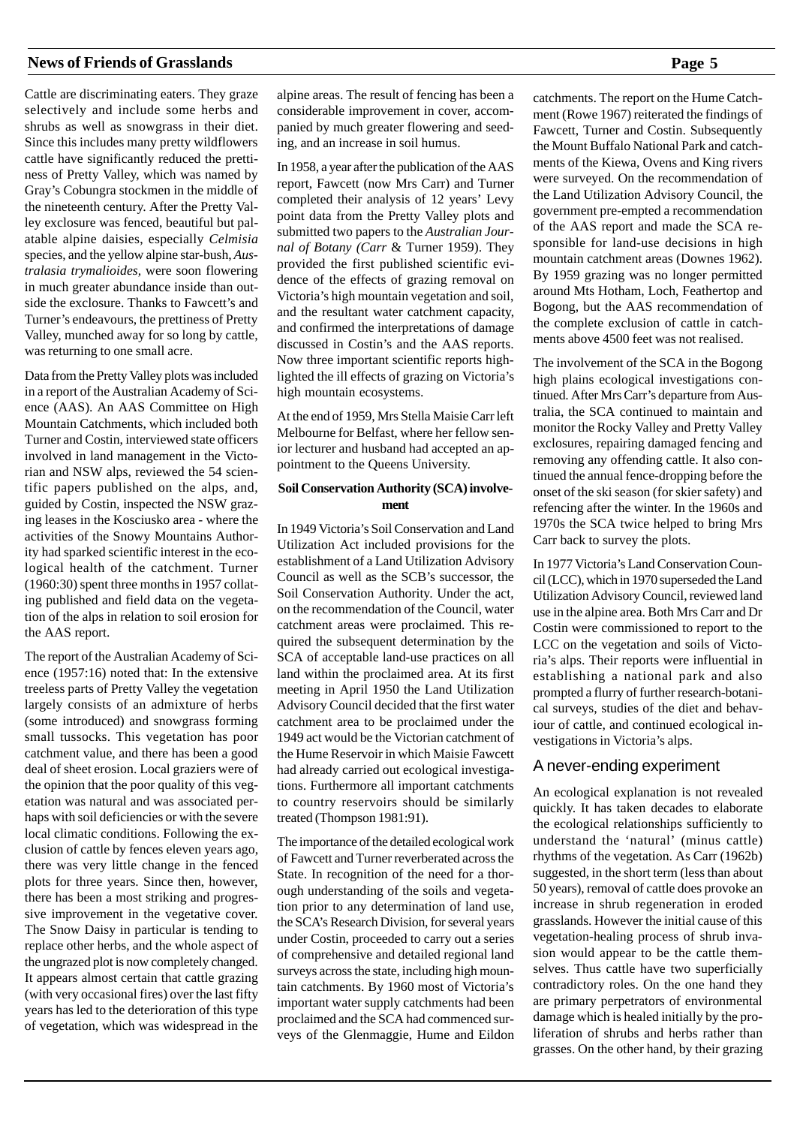Cattle are discriminating eaters. They graze selectively and include some herbs and shrubs as well as snowgrass in their diet. Since this includes many pretty wildflowers cattle have significantly reduced the prettiness of Pretty Valley, which was named by Gray's Cobungra stockmen in the middle of the nineteenth century. After the Pretty Valley exclosure was fenced, beautiful but palatable alpine daisies, especially *Celmisia* species, and the yellow alpine star-bush, *Australasia trymalioides,* were soon flowering in much greater abundance inside than outside the exclosure. Thanks to Fawcett's and Turner's endeavours, the prettiness of Pretty Valley, munched away for so long by cattle, was returning to one small acre.

Data from the Pretty Valley plots was included in a report of the Australian Academy of Science (AAS). An AAS Committee on High Mountain Catchments, which included both Turner and Costin, interviewed state officers involved in land management in the Victorian and NSW alps, reviewed the 54 scientific papers published on the alps, and, guided by Costin, inspected the NSW grazing leases in the Kosciusko area - where the activities of the Snowy Mountains Authority had sparked scientific interest in the ecological health of the catchment. Turner (1960:30) spent three months in 1957 collating published and field data on the vegetation of the alps in relation to soil erosion for the AAS report.

The report of the Australian Academy of Science (1957:16) noted that: In the extensive treeless parts of Pretty Valley the vegetation largely consists of an admixture of herbs (some introduced) and snowgrass forming small tussocks. This vegetation has poor catchment value, and there has been a good deal of sheet erosion. Local graziers were of the opinion that the poor quality of this vegetation was natural and was associated perhaps with soil deficiencies or with the severe local climatic conditions. Following the exclusion of cattle by fences eleven years ago, there was very little change in the fenced plots for three years. Since then, however, there has been a most striking and progressive improvement in the vegetative cover. The Snow Daisy in particular is tending to replace other herbs, and the whole aspect of the ungrazed plot is now completely changed. It appears almost certain that cattle grazing (with very occasional fires) over the last fifty years has led to the deterioration of this type of vegetation, which was widespread in the

alpine areas. The result of fencing has been a considerable improvement in cover, accompanied by much greater flowering and seeding, and an increase in soil humus.

In 1958, a year after the publication of the AAS report, Fawcett (now Mrs Carr) and Turner completed their analysis of 12 years' Levy point data from the Pretty Valley plots and submitted two papers to the *Australian Journal of Botany (Carr* & Turner 1959). They provided the first published scientific evidence of the effects of grazing removal on Victoria's high mountain vegetation and soil, and the resultant water catchment capacity, and confirmed the interpretations of damage discussed in Costin's and the AAS reports. Now three important scientific reports highlighted the ill effects of grazing on Victoria's high mountain ecosystems.

At the end of 1959, Mrs Stella Maisie Carr left Melbourne for Belfast, where her fellow senior lecturer and husband had accepted an appointment to the Queens University.

#### **Soil Conservation Authority (SCA) involvement**

In 1949 Victoria's Soil Conservation and Land Utilization Act included provisions for the establishment of a Land Utilization Advisory Council as well as the SCB's successor, the Soil Conservation Authority. Under the act, on the recommendation of the Council, water catchment areas were proclaimed. This required the subsequent determination by the SCA of acceptable land-use practices on all land within the proclaimed area. At its first meeting in April 1950 the Land Utilization Advisory Council decided that the first water catchment area to be proclaimed under the 1949 act would be the Victorian catchment of the Hume Reservoir in which Maisie Fawcett had already carried out ecological investigations. Furthermore all important catchments to country reservoirs should be similarly treated (Thompson 1981:91).

The importance of the detailed ecological work of Fawcett and Turner reverberated across the State. In recognition of the need for a thorough understanding of the soils and vegetation prior to any determination of land use, the SCA's Research Division, for several years under Costin, proceeded to carry out a series of comprehensive and detailed regional land surveys across the state, including high mountain catchments. By 1960 most of Victoria's important water supply catchments had been proclaimed and the SCA had commenced surveys of the Glenmaggie, Hume and Eildon catchments. The report on the Hume Catchment (Rowe 1967) reiterated the findings of Fawcett, Turner and Costin. Subsequently the Mount Buffalo National Park and catchments of the Kiewa, Ovens and King rivers were surveyed. On the recommendation of the Land Utilization Advisory Council, the government pre-empted a recommendation of the AAS report and made the SCA responsible for land-use decisions in high mountain catchment areas (Downes 1962). By 1959 grazing was no longer permitted around Mts Hotham, Loch, Feathertop and Bogong, but the AAS recommendation of the complete exclusion of cattle in catchments above 4500 feet was not realised.

The involvement of the SCA in the Bogong high plains ecological investigations continued. After Mrs Carr's departure from Australia, the SCA continued to maintain and monitor the Rocky Valley and Pretty Valley exclosures, repairing damaged fencing and removing any offending cattle. It also continued the annual fence-dropping before the onset of the ski season (for skier safety) and refencing after the winter. In the 1960s and 1970s the SCA twice helped to bring Mrs Carr back to survey the plots.

In 1977 Victoria's Land Conservation Council (LCC), which in 1970 superseded the Land Utilization Advisory Council, reviewed land use in the alpine area. Both Mrs Carr and Dr Costin were commissioned to report to the LCC on the vegetation and soils of Victoria's alps. Their reports were influential in establishing a national park and also prompted a flurry of further research-botanical surveys, studies of the diet and behaviour of cattle, and continued ecological investigations in Victoria's alps.

# A never-ending experiment

An ecological explanation is not revealed quickly. It has taken decades to elaborate the ecological relationships sufficiently to understand the 'natural' (minus cattle) rhythms of the vegetation. As Carr (1962b) suggested, in the short term (less than about 50 years), removal of cattle does provoke an increase in shrub regeneration in eroded grasslands. However the initial cause of this vegetation-healing process of shrub invasion would appear to be the cattle themselves. Thus cattle have two superficially contradictory roles. On the one hand they are primary perpetrators of environmental damage which is healed initially by the proliferation of shrubs and herbs rather than grasses. On the other hand, by their grazing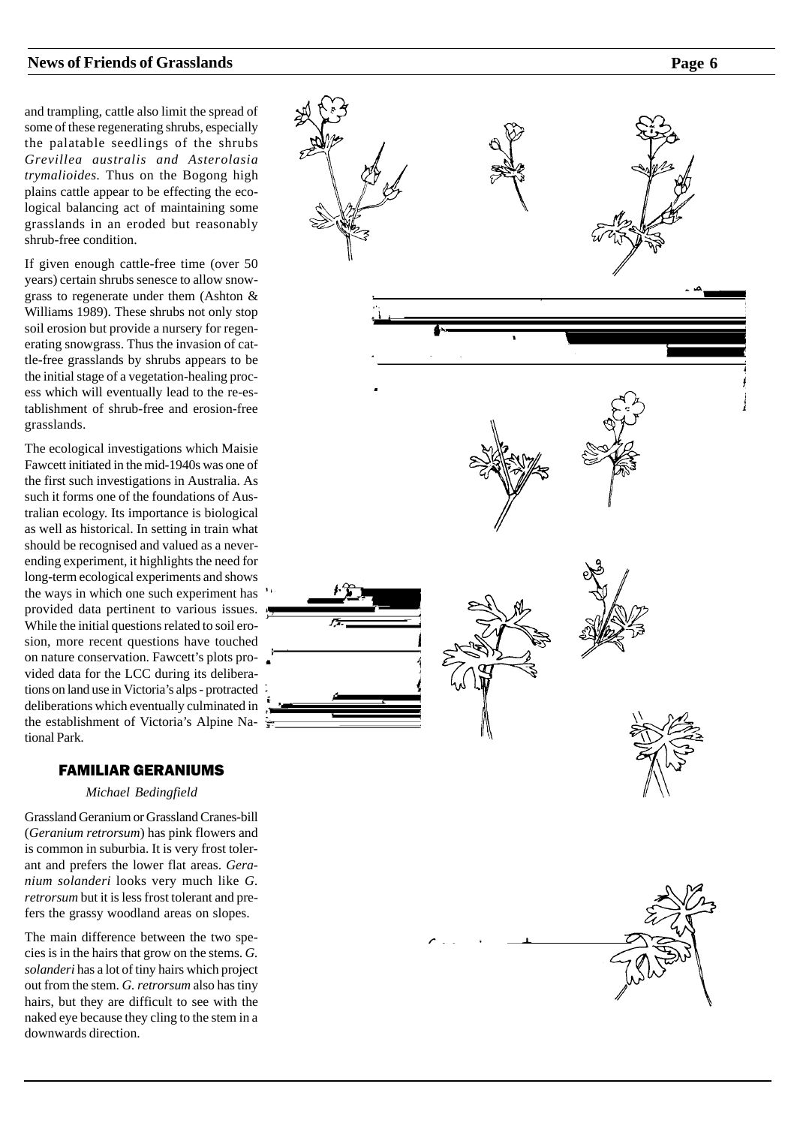and trampling, cattle also limit the spread of some of these regenerating shrubs, especially the palatable seedlings of the shrubs *Grevillea australis and Asterolasia trymalioides.* Thus on the Bogong high plains cattle appear to be effecting the ecological balancing act of maintaining some grasslands in an eroded but reasonably shrub-free condition.

If given enough cattle-free time (over 50 years) certain shrubs senesce to allow snowgrass to regenerate under them (Ashton & Williams 1989). These shrubs not only stop soil erosion but provide a nursery for regenerating snowgrass. Thus the invasion of cattle-free grasslands by shrubs appears to be the initial stage of a vegetation-healing process which will eventually lead to the re-establishment of shrub-free and erosion-free grasslands.

The ecological investigations which Maisie Fawcett initiated in the mid-1940s was one of the first such investigations in Australia. As such it forms one of the foundations of Australian ecology. Its importance is biological as well as historical. In setting in train what should be recognised and valued as a neverending experiment, it highlights the need for long-term ecological experiments and shows the ways in which one such experiment has provided data pertinent to various issues. While the initial questions related to soil erosion, more recent questions have touched on nature conservation. Fawcett's plots provided data for the LCC during its deliberations on land use in Victoria's alps - protracted deliberations which eventually culminated in the establishment of Victoria's Alpine National Park.

# FAMILIAR GERANIUMS

*Michael Bedingfield*

Grassland Geranium or Grassland Cranes-bill (*Geranium retrorsum*) has pink flowers and is common in suburbia. It is very frost tolerant and prefers the lower flat areas. *Geranium solanderi* looks very much like *G. retrorsum* but it is less frost tolerant and prefers the grassy woodland areas on slopes.

The main difference between the two species is in the hairs that grow on the stems. *G. solanderi* has a lot of tiny hairs which project out from the stem. *G. retrorsum* also has tiny hairs, but they are difficult to see with the naked eye because they cling to the stem in a downwards direction.

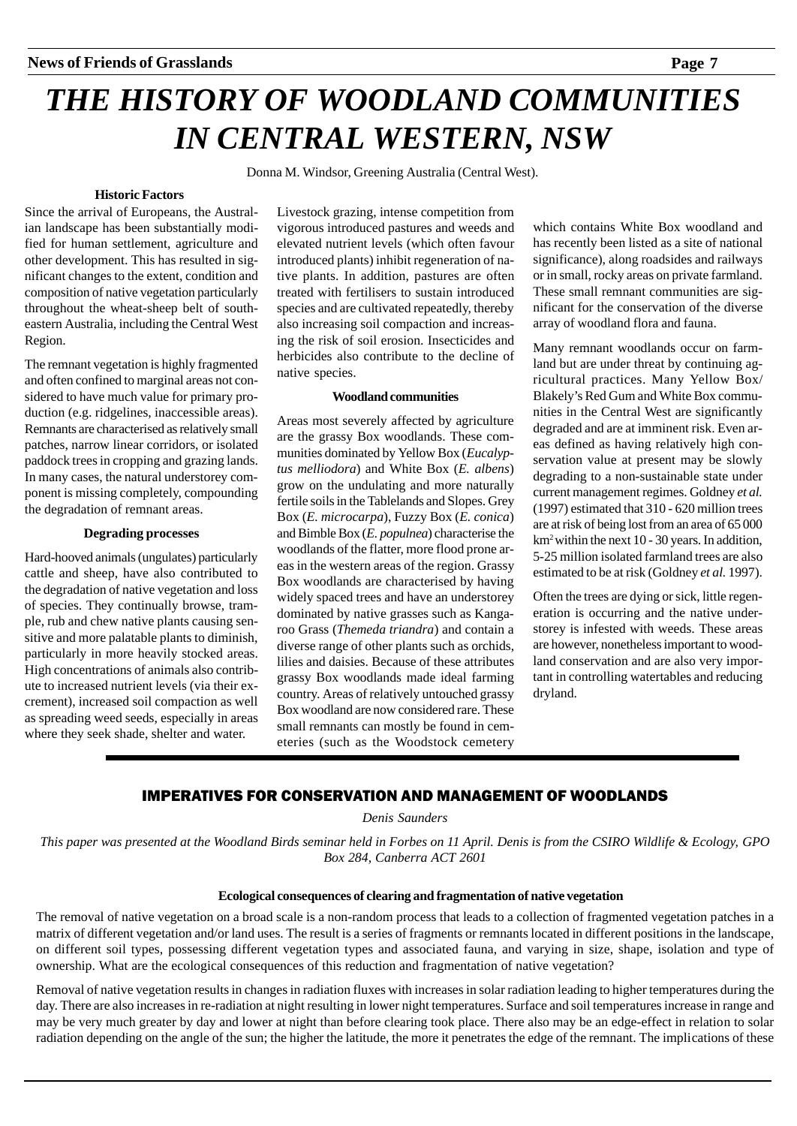# *THE HISTORY OF WOODLAND COMMUNITIES IN CENTRAL WESTERN, NSW*

Donna M. Windsor, Greening Australia (Central West).

# **Historic Factors**

Since the arrival of Europeans, the Australian landscape has been substantially modified for human settlement, agriculture and other development. This has resulted in significant changes to the extent, condition and composition of native vegetation particularly throughout the wheat-sheep belt of southeastern Australia, including the Central West Region.

The remnant vegetation is highly fragmented and often confined to marginal areas not considered to have much value for primary production (e.g. ridgelines, inaccessible areas). Remnants are characterised as relatively small patches, narrow linear corridors, or isolated paddock trees in cropping and grazing lands. In many cases, the natural understorey component is missing completely, compounding the degradation of remnant areas.

# **Degrading processes**

Hard-hooved animals (ungulates) particularly cattle and sheep, have also contributed to the degradation of native vegetation and loss of species. They continually browse, trample, rub and chew native plants causing sensitive and more palatable plants to diminish, particularly in more heavily stocked areas. High concentrations of animals also contribute to increased nutrient levels (via their excrement), increased soil compaction as well as spreading weed seeds, especially in areas where they seek shade, shelter and water.

Livestock grazing, intense competition from vigorous introduced pastures and weeds and elevated nutrient levels (which often favour introduced plants) inhibit regeneration of native plants. In addition, pastures are often treated with fertilisers to sustain introduced species and are cultivated repeatedly, thereby also increasing soil compaction and increasing the risk of soil erosion. Insecticides and herbicides also contribute to the decline of native species.

#### **Woodland communities**

Areas most severely affected by agriculture are the grassy Box woodlands. These communities dominated by Yellow Box (*Eucalyptus melliodora*) and White Box (*E. albens*) grow on the undulating and more naturally fertile soils in the Tablelands and Slopes. Grey Box (*E. microcarpa*), Fuzzy Box (*E. conica*) and Bimble Box (*E. populnea*) characterise the woodlands of the flatter, more flood prone areas in the western areas of the region. Grassy Box woodlands are characterised by having widely spaced trees and have an understorey dominated by native grasses such as Kangaroo Grass (*Themeda triandra*) and contain a diverse range of other plants such as orchids, lilies and daisies. Because of these attributes grassy Box woodlands made ideal farming country. Areas of relatively untouched grassy Box woodland are now considered rare. These small remnants can mostly be found in cemeteries (such as the Woodstock cemetery

which contains White Box woodland and has recently been listed as a site of national significance), along roadsides and railways or in small, rocky areas on private farmland. These small remnant communities are significant for the conservation of the diverse array of woodland flora and fauna.

Many remnant woodlands occur on farmland but are under threat by continuing agricultural practices. Many Yellow Box/ Blakely's Red Gum and White Box communities in the Central West are significantly degraded and are at imminent risk. Even areas defined as having relatively high conservation value at present may be slowly degrading to a non-sustainable state under current management regimes. Goldney *et al.* (1997) estimated that 310 - 620 million trees are at risk of being lost from an area of 65 000 km2 within the next 10 - 30 years. In addition, 5-25 million isolated farmland trees are also estimated to be at risk (Goldney *et al.* 1997).

Often the trees are dying or sick, little regeneration is occurring and the native understorey is infested with weeds. These areas are however, nonetheless important to woodland conservation and are also very important in controlling watertables and reducing dryland.

# IMPERATIVES FOR CONSERVATION AND MANAGEMENT OF WOODLANDS

*Denis Saunders*

*This paper was presented at the Woodland Birds seminar held in Forbes on 11 April. Denis is from the CSIRO Wildlife & Ecology, GPO Box 284, Canberra ACT 2601*

#### **Ecological consequences of clearing and fragmentation of native vegetation**

The removal of native vegetation on a broad scale is a non-random process that leads to a collection of fragmented vegetation patches in a matrix of different vegetation and/or land uses. The result is a series of fragments or remnants located in different positions in the landscape, on different soil types, possessing different vegetation types and associated fauna, and varying in size, shape, isolation and type of ownership. What are the ecological consequences of this reduction and fragmentation of native vegetation?

Removal of native vegetation results in changes in radiation fluxes with increases in solar radiation leading to higher temperatures during the day. There are also increases in re-radiation at night resulting in lower night temperatures. Surface and soil temperatures increase in range and may be very much greater by day and lower at night than before clearing took place. There also may be an edge-effect in relation to solar radiation depending on the angle of the sun; the higher the latitude, the more it penetrates the edge of the remnant. The implications of these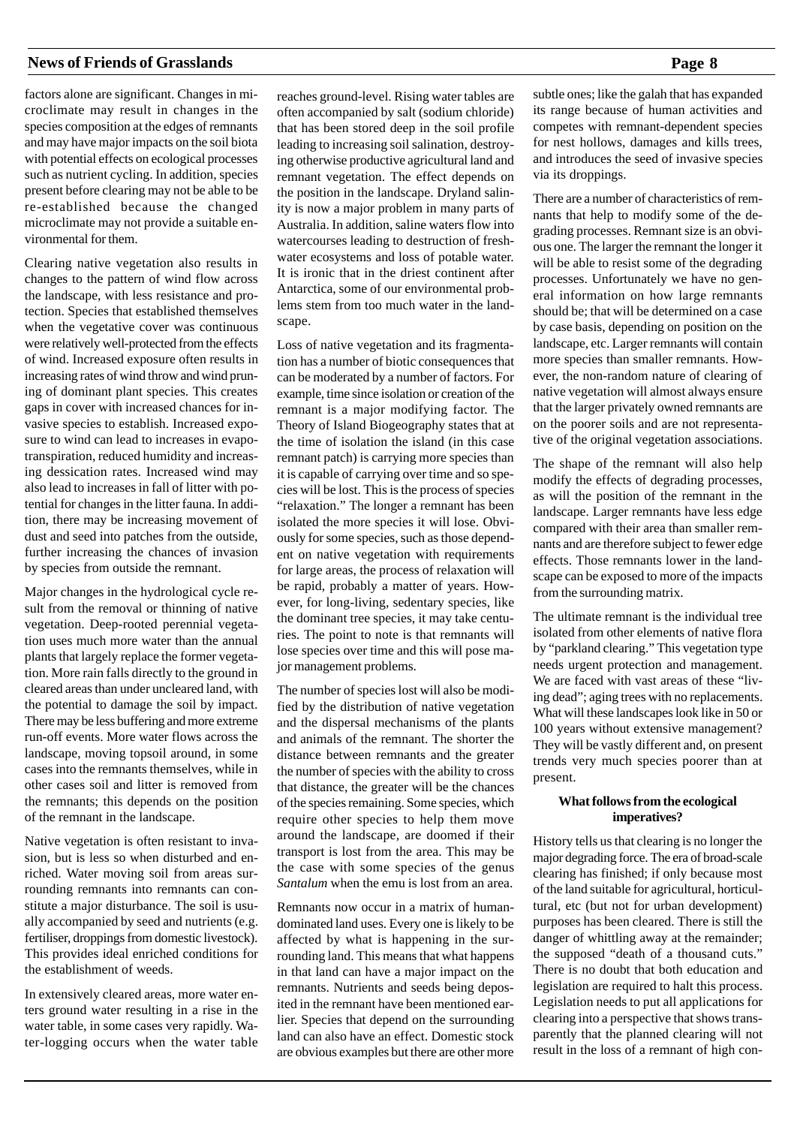factors alone are significant. Changes in microclimate may result in changes in the species composition at the edges of remnants and may have major impacts on the soil biota with potential effects on ecological processes such as nutrient cycling. In addition, species present before clearing may not be able to be re-established because the changed microclimate may not provide a suitable environmental for them.

Clearing native vegetation also results in changes to the pattern of wind flow across the landscape, with less resistance and protection. Species that established themselves when the vegetative cover was continuous were relatively well-protected from the effects of wind. Increased exposure often results in increasing rates of wind throw and wind pruning of dominant plant species. This creates gaps in cover with increased chances for invasive species to establish. Increased exposure to wind can lead to increases in evapotranspiration, reduced humidity and increasing dessication rates. Increased wind may also lead to increases in fall of litter with potential for changes in the litter fauna. In addition, there may be increasing movement of dust and seed into patches from the outside, further increasing the chances of invasion by species from outside the remnant.

Major changes in the hydrological cycle result from the removal or thinning of native vegetation. Deep-rooted perennial vegetation uses much more water than the annual plants that largely replace the former vegetation. More rain falls directly to the ground in cleared areas than under uncleared land, with the potential to damage the soil by impact. There may be less buffering and more extreme run-off events. More water flows across the landscape, moving topsoil around, in some cases into the remnants themselves, while in other cases soil and litter is removed from the remnants; this depends on the position of the remnant in the landscape.

Native vegetation is often resistant to invasion, but is less so when disturbed and enriched. Water moving soil from areas surrounding remnants into remnants can constitute a major disturbance. The soil is usually accompanied by seed and nutrients (e.g. fertiliser, droppings from domestic livestock). This provides ideal enriched conditions for the establishment of weeds.

In extensively cleared areas, more water enters ground water resulting in a rise in the water table, in some cases very rapidly. Water-logging occurs when the water table reaches ground-level. Rising water tables are often accompanied by salt (sodium chloride) that has been stored deep in the soil profile leading to increasing soil salination, destroying otherwise productive agricultural land and remnant vegetation. The effect depends on the position in the landscape. Dryland salinity is now a major problem in many parts of Australia. In addition, saline waters flow into watercourses leading to destruction of freshwater ecosystems and loss of potable water. It is ironic that in the driest continent after Antarctica, some of our environmental problems stem from too much water in the landscape.

Loss of native vegetation and its fragmentation has a number of biotic consequences that can be moderated by a number of factors. For example, time since isolation or creation of the remnant is a major modifying factor. The Theory of Island Biogeography states that at the time of isolation the island (in this case remnant patch) is carrying more species than it is capable of carrying over time and so species will be lost. This is the process of species "relaxation." The longer a remnant has been isolated the more species it will lose. Obviously for some species, such as those dependent on native vegetation with requirements for large areas, the process of relaxation will be rapid, probably a matter of years. However, for long-living, sedentary species, like the dominant tree species, it may take centuries. The point to note is that remnants will lose species over time and this will pose major management problems.

The number of species lost will also be modified by the distribution of native vegetation and the dispersal mechanisms of the plants and animals of the remnant. The shorter the distance between remnants and the greater the number of species with the ability to cross that distance, the greater will be the chances of the species remaining. Some species, which require other species to help them move around the landscape, are doomed if their transport is lost from the area. This may be the case with some species of the genus *Santalum* when the emu is lost from an area.

Remnants now occur in a matrix of humandominated land uses. Every one is likely to be affected by what is happening in the surrounding land. This means that what happens in that land can have a major impact on the remnants. Nutrients and seeds being deposited in the remnant have been mentioned earlier. Species that depend on the surrounding land can also have an effect. Domestic stock are obvious examples but there are other more

subtle ones; like the galah that has expanded its range because of human activities and competes with remnant-dependent species for nest hollows, damages and kills trees, and introduces the seed of invasive species via its droppings.

There are a number of characteristics of remnants that help to modify some of the degrading processes. Remnant size is an obvious one. The larger the remnant the longer it will be able to resist some of the degrading processes. Unfortunately we have no general information on how large remnants should be; that will be determined on a case by case basis, depending on position on the landscape, etc. Larger remnants will contain more species than smaller remnants. However, the non-random nature of clearing of native vegetation will almost always ensure that the larger privately owned remnants are on the poorer soils and are not representative of the original vegetation associations.

The shape of the remnant will also help modify the effects of degrading processes, as will the position of the remnant in the landscape. Larger remnants have less edge compared with their area than smaller remnants and are therefore subject to fewer edge effects. Those remnants lower in the landscape can be exposed to more of the impacts from the surrounding matrix.

The ultimate remnant is the individual tree isolated from other elements of native flora by "parkland clearing." This vegetation type needs urgent protection and management. We are faced with vast areas of these "living dead"; aging trees with no replacements. What will these landscapes look like in 50 or 100 years without extensive management? They will be vastly different and, on present trends very much species poorer than at present.

# **What follows from the ecological imperatives?**

History tells us that clearing is no longer the major degrading force. The era of broad-scale clearing has finished; if only because most of the land suitable for agricultural, horticultural, etc (but not for urban development) purposes has been cleared. There is still the danger of whittling away at the remainder; the supposed "death of a thousand cuts." There is no doubt that both education and legislation are required to halt this process. Legislation needs to put all applications for clearing into a perspective that shows transparently that the planned clearing will not result in the loss of a remnant of high con-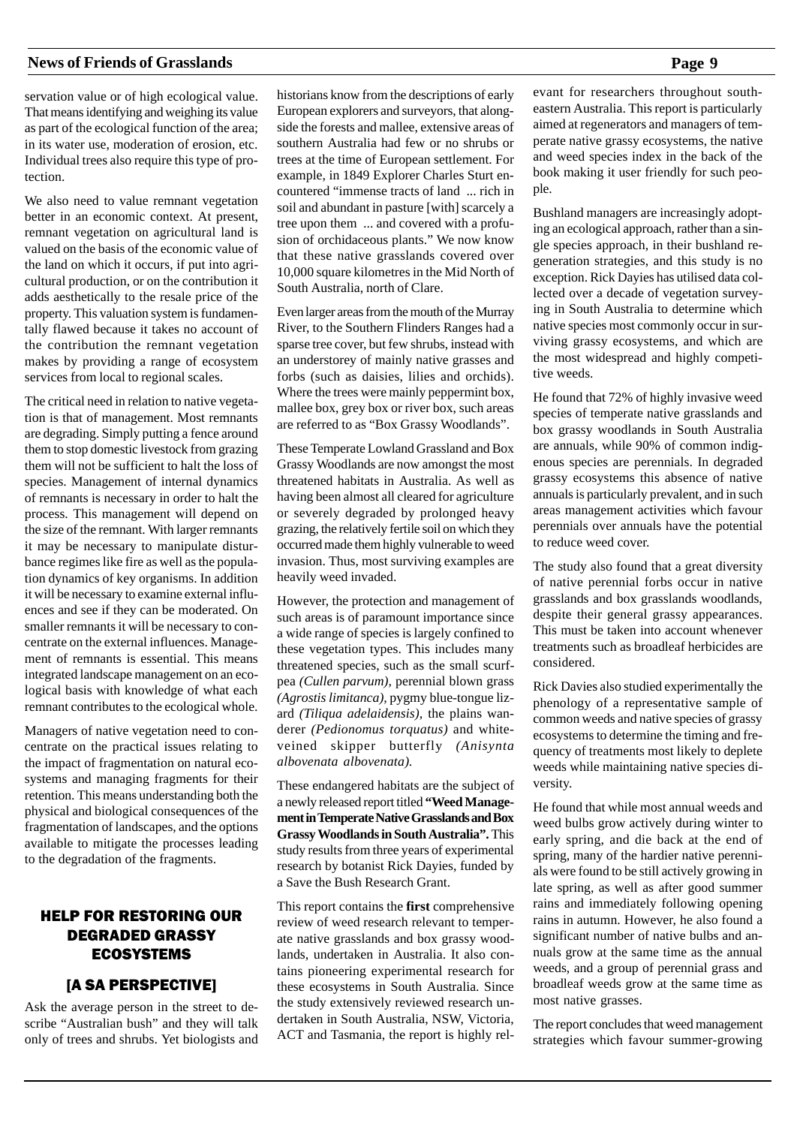servation value or of high ecological value. That means identifying and weighing its value as part of the ecological function of the area; in its water use, moderation of erosion, etc. Individual trees also require this type of protection.

We also need to value remnant vegetation better in an economic context. At present, remnant vegetation on agricultural land is valued on the basis of the economic value of the land on which it occurs, if put into agricultural production, or on the contribution it adds aesthetically to the resale price of the property. This valuation system is fundamentally flawed because it takes no account of the contribution the remnant vegetation makes by providing a range of ecosystem services from local to regional scales.

The critical need in relation to native vegetation is that of management. Most remnants are degrading. Simply putting a fence around them to stop domestic livestock from grazing them will not be sufficient to halt the loss of species. Management of internal dynamics of remnants is necessary in order to halt the process. This management will depend on the size of the remnant. With larger remnants it may be necessary to manipulate disturbance regimes like fire as well as the population dynamics of key organisms. In addition it will be necessary to examine external influences and see if they can be moderated. On smaller remnants it will be necessary to concentrate on the external influences. Management of remnants is essential. This means integrated landscape management on an ecological basis with knowledge of what each remnant contributes to the ecological whole.

Managers of native vegetation need to concentrate on the practical issues relating to the impact of fragmentation on natural ecosystems and managing fragments for their retention. This means understanding both the physical and biological consequences of the fragmentation of landscapes, and the options available to mitigate the processes leading to the degradation of the fragments.

# HELP FOR RESTORING OUR DEGRADED GRASSY ECOSYSTEMS

# [A SA PERSPECTIVE]

Ask the average person in the street to describe "Australian bush" and they will talk only of trees and shrubs. Yet biologists and historians know from the descriptions of early European explorers and surveyors, that alongside the forests and mallee, extensive areas of southern Australia had few or no shrubs or trees at the time of European settlement. For example, in 1849 Explorer Charles Sturt encountered "immense tracts of land ... rich in soil and abundant in pasture [with] scarcely a tree upon them ... and covered with a profusion of orchidaceous plants." We now know that these native grasslands covered over 10,000 square kilometres in the Mid North of South Australia, north of Clare.

Even larger areas from the mouth of the Murray River, to the Southern Flinders Ranges had a sparse tree cover, but few shrubs, instead with an understorey of mainly native grasses and forbs (such as daisies, lilies and orchids). Where the trees were mainly peppermint box, mallee box, grey box or river box, such areas are referred to as "Box Grassy Woodlands".

These Temperate Lowland Grassland and Box Grassy Woodlands are now amongst the most threatened habitats in Australia. As well as having been almost all cleared for agriculture or severely degraded by prolonged heavy grazing, the relatively fertile soil on which they occurred made them highly vulnerable to weed invasion. Thus, most surviving examples are heavily weed invaded.

However, the protection and management of such areas is of paramount importance since a wide range of species is largely confined to these vegetation types. This includes many threatened species, such as the small scurfpea *(Cullen parvum),* perennial blown grass *(Agrostis limitanca),* pygmy blue-tongue lizard *(Tiliqua adelaidensis),* the plains wanderer *(Pedionomus torquatus)* and whiteveined skipper butterfly *(Anisynta albovenata albovenata).*

These endangered habitats are the subject of a newly released report titled **"Weed Management in Temperate Native Grasslands and Box Grassy Woodlands in South Australia".** This study results from three years of experimental research by botanist Rick Dayies, funded by a Save the Bush Research Grant.

This report contains the **first** comprehensive review of weed research relevant to temperate native grasslands and box grassy woodlands, undertaken in Australia. It also contains pioneering experimental research for these ecosystems in South Australia. Since the study extensively reviewed research undertaken in South Australia, NSW, Victoria, ACT and Tasmania, the report is highly relevant for researchers throughout southeastern Australia. This report is particularly aimed at regenerators and managers of temperate native grassy ecosystems, the native and weed species index in the back of the book making it user friendly for such people.

Bushland managers are increasingly adopting an ecological approach, rather than a single species approach, in their bushland regeneration strategies, and this study is no exception. Rick Dayies has utilised data collected over a decade of vegetation surveying in South Australia to determine which native species most commonly occur in surviving grassy ecosystems, and which are the most widespread and highly competitive weeds.

He found that 72% of highly invasive weed species of temperate native grasslands and box grassy woodlands in South Australia are annuals, while 90% of common indigenous species are perennials. In degraded grassy ecosystems this absence of native annuals is particularly prevalent, and in such areas management activities which favour perennials over annuals have the potential to reduce weed cover.

The study also found that a great diversity of native perennial forbs occur in native grasslands and box grasslands woodlands, despite their general grassy appearances. This must be taken into account whenever treatments such as broadleaf herbicides are considered.

Rick Davies also studied experimentally the phenology of a representative sample of common weeds and native species of grassy ecosystems to determine the timing and frequency of treatments most likely to deplete weeds while maintaining native species diversity.

He found that while most annual weeds and weed bulbs grow actively during winter to early spring, and die back at the end of spring, many of the hardier native perennials were found to be still actively growing in late spring, as well as after good summer rains and immediately following opening rains in autumn. However, he also found a significant number of native bulbs and annuals grow at the same time as the annual weeds, and a group of perennial grass and broadleaf weeds grow at the same time as most native grasses.

The report concludes that weed management strategies which favour summer-growing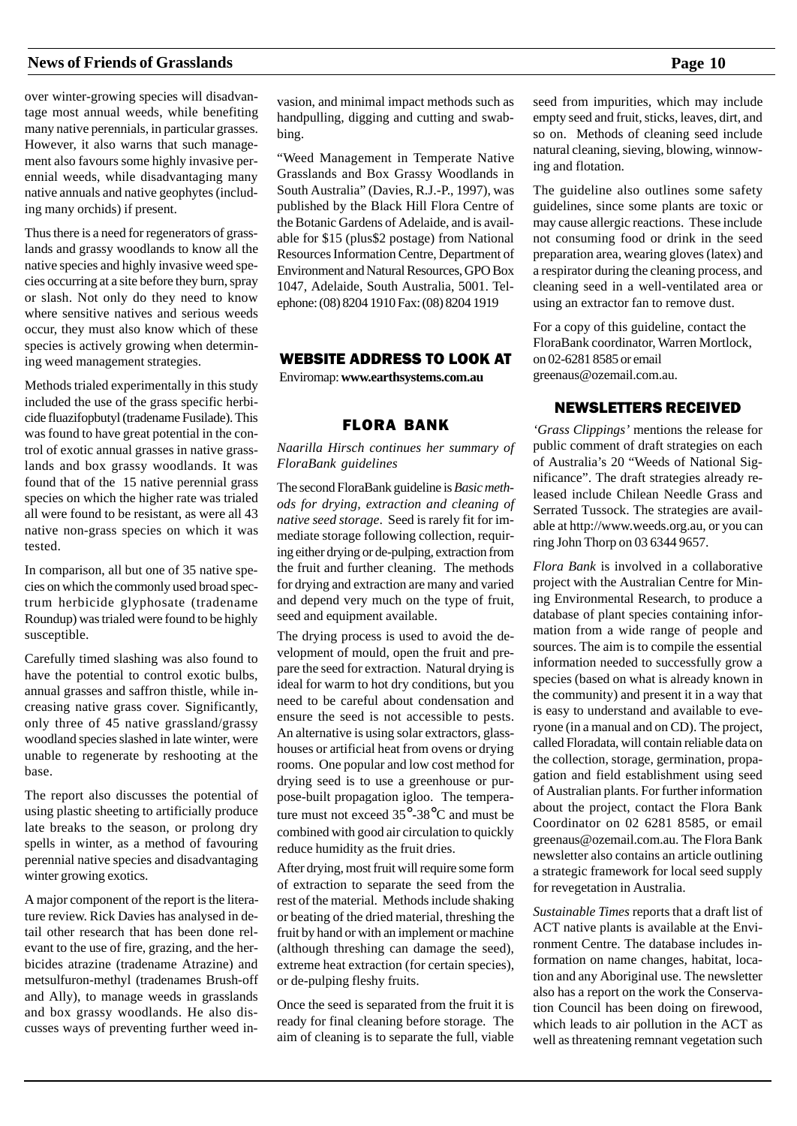over winter-growing species will disadvantage most annual weeds, while benefiting many native perennials, in particular grasses. However, it also warns that such management also favours some highly invasive perennial weeds, while disadvantaging many native annuals and native geophytes (including many orchids) if present.

Thus there is a need for regenerators of grasslands and grassy woodlands to know all the native species and highly invasive weed species occurring at a site before they burn, spray or slash. Not only do they need to know where sensitive natives and serious weeds occur, they must also know which of these species is actively growing when determining weed management strategies.

Methods trialed experimentally in this study included the use of the grass specific herbicide fluazifopbutyl (tradename Fusilade). This was found to have great potential in the control of exotic annual grasses in native grasslands and box grassy woodlands. It was found that of the 15 native perennial grass species on which the higher rate was trialed all were found to be resistant, as were all 43 native non-grass species on which it was tested.

In comparison, all but one of 35 native species on which the commonly used broad spectrum herbicide glyphosate (tradename Roundup) was trialed were found to be highly susceptible.

Carefully timed slashing was also found to have the potential to control exotic bulbs, annual grasses and saffron thistle, while increasing native grass cover. Significantly, only three of 45 native grassland/grassy woodland species slashed in late winter, were unable to regenerate by reshooting at the base.

The report also discusses the potential of using plastic sheeting to artificially produce late breaks to the season, or prolong dry spells in winter, as a method of favouring perennial native species and disadvantaging winter growing exotics.

A major component of the report is the literature review. Rick Davies has analysed in detail other research that has been done relevant to the use of fire, grazing, and the herbicides atrazine (tradename Atrazine) and metsulfuron-methyl (tradenames Brush-off and Ally), to manage weeds in grasslands and box grassy woodlands. He also discusses ways of preventing further weed invasion, and minimal impact methods such as handpulling, digging and cutting and swabbing.

"Weed Management in Temperate Native Grasslands and Box Grassy Woodlands in South Australia" (Davies, R.J.-P., 1997), was published by the Black Hill Flora Centre of the Botanic Gardens of Adelaide, and is available for \$15 (plus\$2 postage) from National Resources Information Centre, Department of Environment and Natural Resources, GPO Box 1047, Adelaide, South Australia, 5001. Telephone: (08) 8204 1910 Fax: (08) 8204 1919

# WEBSITE ADDRESS TO LOOK AT

Enviromap: **www.earthsystems.com.au**

# FLORA BANK

*Naarilla Hirsch continues her summary of FloraBank guidelines*

The second FloraBank guideline is *Basic methods for drying, extraction and cleaning of native seed storage*. Seed is rarely fit for immediate storage following collection, requiring either drying or de-pulping, extraction from the fruit and further cleaning. The methods for drying and extraction are many and varied and depend very much on the type of fruit, seed and equipment available.

The drying process is used to avoid the development of mould, open the fruit and prepare the seed for extraction. Natural drying is ideal for warm to hot dry conditions, but you need to be careful about condensation and ensure the seed is not accessible to pests. An alternative is using solar extractors, glasshouses or artificial heat from ovens or drying rooms. One popular and low cost method for drying seed is to use a greenhouse or purpose-built propagation igloo. The temperature must not exceed 35°-38°C and must be combined with good air circulation to quickly reduce humidity as the fruit dries.

After drying, most fruit will require some form of extraction to separate the seed from the rest of the material. Methods include shaking or beating of the dried material, threshing the fruit by hand or with an implement or machine (although threshing can damage the seed), extreme heat extraction (for certain species), or de-pulping fleshy fruits.

Once the seed is separated from the fruit it is ready for final cleaning before storage. The aim of cleaning is to separate the full, viable seed from impurities, which may include empty seed and fruit, sticks, leaves, dirt, and so on. Methods of cleaning seed include natural cleaning, sieving, blowing, winnowing and flotation.

The guideline also outlines some safety guidelines, since some plants are toxic or may cause allergic reactions. These include not consuming food or drink in the seed preparation area, wearing gloves (latex) and a respirator during the cleaning process, and cleaning seed in a well-ventilated area or using an extractor fan to remove dust.

For a copy of this guideline, contact the FloraBank coordinator, Warren Mortlock, on 02-6281 8585 or email greenaus@ozemail.com.au.

# NEWSLETTERS RECEIVED

*'Grass Clippings'* mentions the release for public comment of draft strategies on each of Australia's 20 "Weeds of National Significance". The draft strategies already released include Chilean Needle Grass and Serrated Tussock. The strategies are available at http://www.weeds.org.au, or you can ring John Thorp on 03 6344 9657.

*Flora Bank* is involved in a collaborative project with the Australian Centre for Mining Environmental Research, to produce a database of plant species containing information from a wide range of people and sources. The aim is to compile the essential information needed to successfully grow a species (based on what is already known in the community) and present it in a way that is easy to understand and available to everyone (in a manual and on CD). The project, called Floradata, will contain reliable data on the collection, storage, germination, propagation and field establishment using seed of Australian plants. For further information about the project, contact the Flora Bank Coordinator on 02 6281 8585, or email greenaus@ozemail.com.au. The Flora Bank newsletter also contains an article outlining a strategic framework for local seed supply for revegetation in Australia.

*Sustainable Times* reports that a draft list of ACT native plants is available at the Environment Centre. The database includes information on name changes, habitat, location and any Aboriginal use. The newsletter also has a report on the work the Conservation Council has been doing on firewood, which leads to air pollution in the ACT as well as threatening remnant vegetation such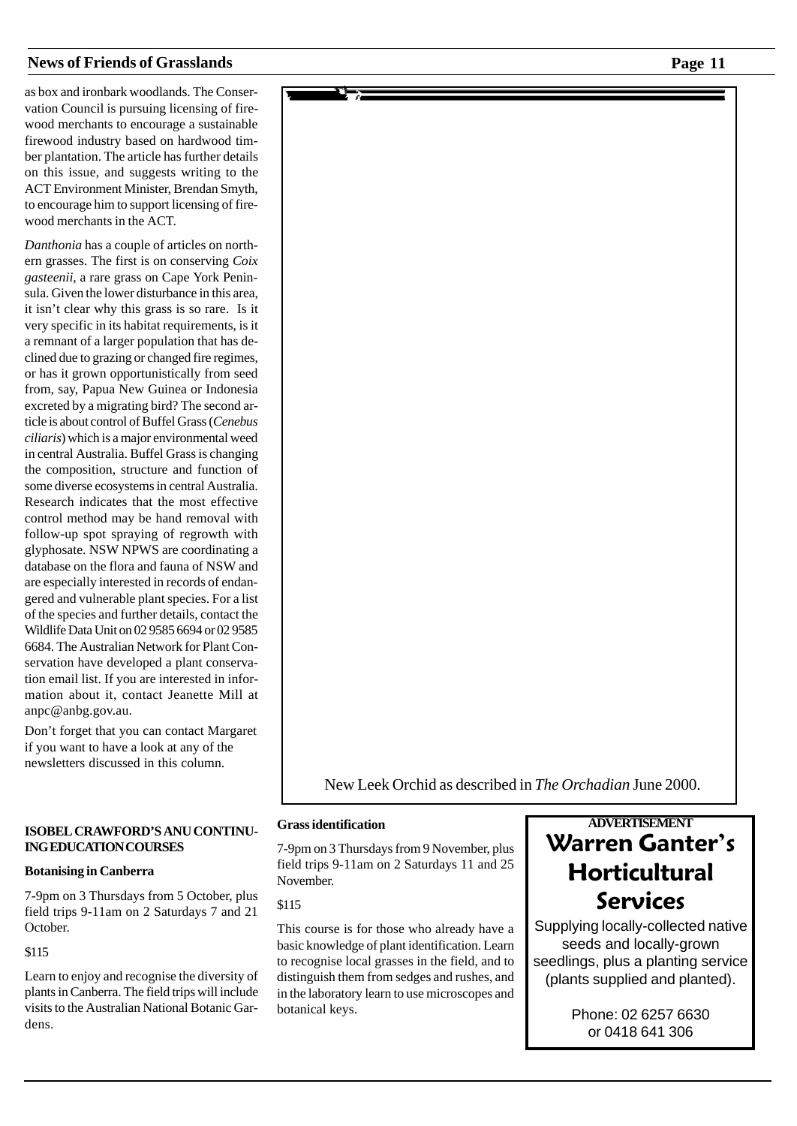as box and ironbark woodlands. The Conservation Council is pursuing licensing of firewood merchants to encourage a sustainable firewood industry based on hardwood timber plantation. The article has further details on this issue, and suggests writing to the ACT Environment Minister, Brendan Smyth, to encourage him to support licensing of firewood merchants in the ACT.

*Danthonia* has a couple of articles on northern grasses. The first is on conserving *Coix gasteenii*, a rare grass on Cape York Peninsula. Given the lower disturbance in this area, it isn't clear why this grass is so rare. Is it very specific in its habitat requirements, is it a remnant of a larger population that has declined due to grazing or changed fire regimes, or has it grown opportunistically from seed from, say, Papua New Guinea or Indonesia excreted by a migrating bird? The second article is about control of Buffel Grass (*Cenebus ciliaris*) which is a major environmental weed in central Australia. Buffel Grass is changing the composition, structure and function of some diverse ecosystems in central Australia. Research indicates that the most effective control method may be hand removal with follow-up spot spraying of regrowth with glyphosate. NSW NPWS are coordinating a database on the flora and fauna of NSW and are especially interested in records of endangered and vulnerable plant species. For a list of the species and further details, contact the Wildlife Data Unit on 02 9585 6694 or 02 9585 6684. The Australian Network for Plant Conservation have developed a plant conservation email list. If you are interested in information about it, contact Jeanette Mill at anpc@anbg.gov.au.

Don't forget that you can contact Margaret if you want to have a look at any of the newsletters discussed in this column.

#### **ISOBEL CRAWFORD'S ANU CONTINU-ING EDUCATION COURSES**

#### **Botanising in Canberra**

7-9pm on 3 Thursdays from 5 October, plus field trips 9-11am on 2 Saturdays 7 and 21 October.

\$115

Learn to enjoy and recognise the diversity of plants in Canberra. The field trips will include visits to the Australian National Botanic Gardens.



#### **Grass identification**

7-9pm on 3 Thursdays from 9 November, plus field trips 9-11am on 2 Saturdays 11 and 25 November.

\$115

This course is for those who already have a basic knowledge of plant identification. Learn to recognise local grasses in the field, and to distinguish them from sedges and rushes, and in the laboratory learn to use microscopes and botanical keys.

# **ADVERTISEMENT Warren Ganter's Horticultural** Services

Supplying locally-collected native seeds and locally-grown seedlings, plus a planting service (plants supplied and planted).

> Phone: 02 6257 6630 or 0418 641 306